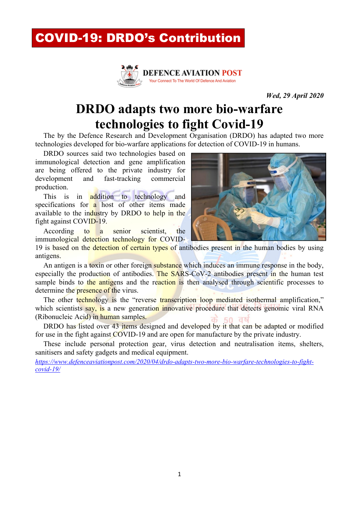## COVID-19: DRDO's Contribution



*Wed, 29 April 2020*

### **DRDO adapts two more bio-warfare technologies to fight Covid-19**

The by the Defence Research and Development Organisation (DRDO) has adapted two more technologies developed for bio-warfare applications for detection of COVID-19 in humans.

DRDO sources said two technologies based on immunological detection and gene amplification are being offered to the private industry for development and fast-tracking commercial production.

This is in **addition** to technology and specifications for a host of other items made available to the industry by DRDO to help in the fight against COVID-19.

According to a senior scientist, the immunological detection technology for COVID-



19 is based on the detection of certain types of antibodies present in the human bodies by using antigens.

An antigen is a toxin or other foreign substance which induces an immune response in the body, especially the production of antibodies. The SARS-CoV-2 antibodies present in the human test sample binds to the antigens and the reaction is then analysed through scientific processes to determine the **presence** of the virus.

The other technology is the "reverse transcription loop mediated isothermal amplification," which scientists say, is a new generation innovative procedure that detects genomic viral RNA (Ribonucleic Acid) in human samples.

DRDO has listed over 43 items designed and developed by it that can be adapted or modified for use in the fight against COVID-19 and are open for manufacture by the private industry.

These include personal protection gear, virus detection and neutralisation items, shelters, sanitisers and safety gadgets and medical equipment.

*https://www.defenceaviationpost.com/2020/04/drdo-adapts-two-more-bio-warfare-technologies-to-fightcovid-19/*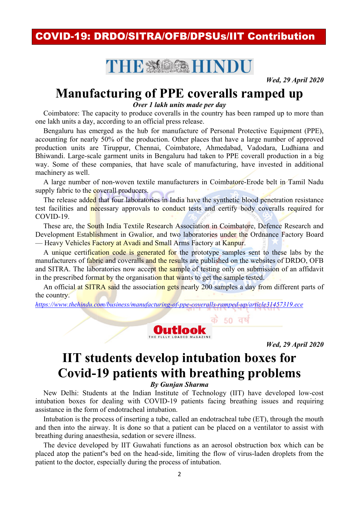#### **COVID-19: DRDO/SITRA/OFB/DPSUs/IIT Contribution**

# THE MOSA HINDU

**Wed. 29 April 2020** 

# **Manufacturing of PPE coveralls ramped up**

Over 1 lakh units made per day

Coimbatore: The capacity to produce coveralls in the country has been ramped up to more than one lakh units a day, according to an official press release.

Bengaluru has emerged as the hub for manufacture of Personal Protective Equipment (PPE). accounting for nearly 50% of the production. Other places that have a large number of approved production units are Tiruppur, Chennai, Coimbatore, Ahmedabad, Vadodara, Ludhiana and Bhiwandi. Large-scale garment units in Bengaluru had taken to PPE coverall production in a big way. Some of these companies, that have scale of manufacturing, have invested in additional machinery as well.

A large number of non-woven textile manufacturers in Coimbatore-Erode belt in Tamil Nadu supply fabric to the coverall producers.

The release added that four laboratories in India have the synthetic blood penetration resistance test facilities and necessary approvals to conduct tests and certify body coveralls required for  $COVID-19$ 

These are, the South India Textile Research Association in Coimbatore, Defence Research and Development Establishment in Gwalior, and two laboratories under the Ordnance Factory Board — Heavy Vehicles Factory at Avadi and Small Arms Factory at Kanpur.

A unique certification code is generated for the prototype samples sent to these labs by the manufacturers of fabric and coveralls and the results are published on the websites of DRDO, OFB and SITRA. The laboratories now accept the sample of testing only on submission of an affidavit in the prescribed format by the organisation that wants to get the sample tested.

An official at **SITRA** said the association gets nearly 200 samples a day from different parts of the country.

https://www.thehindu.com/business/manufacturing-of-ppe-coveralls-ramped-up/article31457319.ece



**Wed, 29 April 2020** 

# **IIT students develop intubation boxes for Covid-19 patients with breathing problems**

**By Gunjan Sharma** 

New Delhi: Students at the Indian Institute of Technology (IIT) have developed low-cost intubation boxes for dealing with COVID-19 patients facing breathing issues and requiring assistance in the form of endotracheal intubation.

Intubation is the process of inserting a tube, called an endotracheal tube (ET), through the mouth and then into the airway. It is done so that a patient can be placed on a ventilator to assist with breathing during anaesthesia, sedation or severe illness.

The device developed by IIT Guwahati functions as an aerosol obstruction box which can be placed atop the patient"s bed on the head-side, limiting the flow of virus-laden droplets from the patient to the doctor, especially during the process of intubation.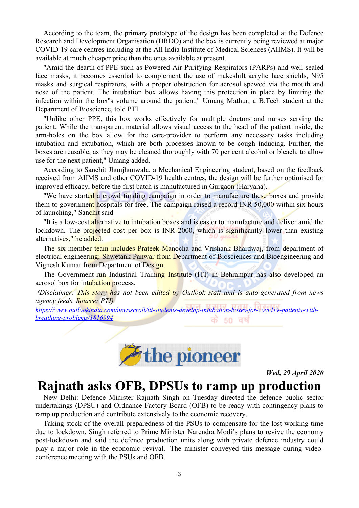According to the team, the primary prototype of the design has been completed at the Defence Research and Development Organisation (DRDO) and the box is currently being reviewed at major COVID-19 care centres including at the All India Institute of Medical Sciences (AIIMS). It will be available at much cheaper price than the ones available at present.

"Amid the dearth of PPE such as Powered Air-Purifying Respirators (PARPs) and well-sealed face masks, it becomes essential to complement the use of makeshift acrylic face shields, N95 masks and surgical respirators, with a proper obstruction for aerosol spewed via the mouth and nose of the patient. The intubation box allows having this protection in place by limiting the infection within the box"s volume around the patient," Umang Mathur, a B.Tech student at the Department of Bioscience, told PTI

"Unlike other PPE, this box works effectively for multiple doctors and nurses serving the patient. While the transparent material allows visual access to the head of the patient inside, the arm-holes on the box allow for the care-provider to perform any necessary tasks including intubation and extubation, which are both processes known to be cough inducing. Further, the boxes are reusable, as they may be cleaned thoroughly with 70 per cent alcohol or bleach, to allow use for the next patient," Umang added.

According to Sanchit Jhunjhunwala, a Mechanical Engineering student, based on the feedback received from AIIMS and other COVID-19 health centres, the design will be further optimised for improved efficacy, before the first batch is manufactured in Gurgaon (Haryana).

"We have started a crowd funding campaign in order to manufacture these boxes and provide them to government hospitals for free. The campaign raised a record INR 50,000 within six hours of launching," Sanchit said

"It is a low-cost alternative to intubation boxes and is easier to manufacture and deliver amid the lockdown. The projected cost per box is INR 2000, which is significantly lower than existing alternatives," he added.

The six-member team includes Prateek Manocha and Vrishank Bhardwaj, from department of electrical engineering; Shwetank Panwar from Department of Biosciences and Bioengineering and Vignesh Kumar from Department of Design.

The Government-run Industrial Training Institute (ITI) in Behrampur has also developed an aerosol box for intubation process.

(Disclaimer: This story has not been edited by Outlook staff and is auto-generated from news *agency feeds. Source: PTI)* 

https://www.outlookindia.com/newsscroll/iit-students-develop-intubation-boxes-for-covid19-patients-withbreathing-problems/1816994 50 वर्ष को



**Wed, 29 April 2020** 

#### Rajnath asks OFB, DPSUs to ramp up production

New Delhi: Defence Minister Rajnath Singh on Tuesday directed the defence public sector undertakings (DPSU) and Ordnance Factory Board (OFB) to be ready with contingency plans to ramp up production and contribute extensively to the economic recovery.

Taking stock of the overall preparedness of the PSUs to compensate for the lost working time due to lockdown, Singh referred to Prime Minister Narendra Modi's plans to revive the economy post-lockdown and said the defence production units along with private defence industry could play a major role in the economic revival. The minister conveyed this message during videoconference meeting with the PSUs and OFB.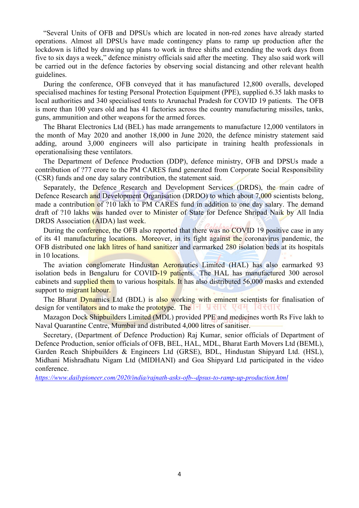"Several Units of OFB and DPSUs which are located in non-red zones have already started operations. Almost all DPSUs have made contingency plans to ramp up production after the lockdown is lifted by drawing up plans to work in three shifts and extending the work days from five to six days a week," defence ministry officials said after the meeting. They also said work will be carried out in the defence factories by observing social distancing and other relevant health guidelines.

During the conference, OFB conveyed that it has manufactured 12,800 overalls, developed specialised machines for testing Personal Protection Equipment (PPE), supplied 6.35 lakh masks to local authorities and 340 specialised tents to Arunachal Pradesh for COVID 19 patients. The OFB is more than 100 years old and has 41 factories across the country manufacturing missiles, tanks, guns, ammunition and other weapons for the armed forces.

The Bharat Electronics Ltd (BEL) has made arrangements to manufacture 12,000 ventilators in the month of May 2020 and another 18,000 in June 2020, the defence ministry statement said adding, around 3,000 engineers will also participate in training health professionals in operationalising these ventilators.

The Department of Defence Production (DDP), defence ministry, OFB and DPSUs made a contribution of ?77 crore to the PM CARES fund generated from Corporate Social Responsibility (CSR) funds and one day salary contribution, the statement said.

Separately, the Defence Research and Development Services (DRDS), the main cadre of Defence Research and Development Organisation (DRDO) to which about 7,000 scientists belong. made a contribution of ?10 lakh to PM CARES fund in addition to one day salary. The demand draft of ?10 lakhs was handed over to Minister of State for Defence Shripad Naik by All India DRDS Association (AIDA) last week.

During the conference, the OFB also reported that there was no COVID 19 positive case in any of its 41 manufacturing locations. Moreover, in its fight against the coronavirus pandemic, the OFB distributed one lakh litres of hand sanitizer and earmarked 280 isolation beds at its hospitals in 10 locations.

The aviation conglomerate Hindustan Aeronautics Limited (HAL) has also earmarked 93 isolation beds in Bengaluru for COVID-19 patients. The HAL has manufactured 300 aerosol cabinets and supplied them to various hospitals. It has also distributed 56,000 masks and extended support to migrant labour.

The Bharat Dynamics Ltd (BDL) is also working with eminent scientists for finalisation of design for ventilators and to make the prototype. The **HUNGER** VEH LEVEL

Mazagon Dock Shipbuilders Limited (MDL) provided PPE and medicines worth Rs Five lakh to Naval Quarantine Centre, Mumbai and distributed 4,000 litres of sanitiser.

Secretary, (Department of Defence Production) Raj Kumar, senior officials of Department of Defence Production, senior officials of OFB, BEL, HAL, MDL, Bharat Earth Movers Ltd (BEML), Garden Reach Shipbuilders & Engineers Ltd (GRSE), BDL, Hindustan Shipyard Ltd. (HSL), Midhani Mishradhatu Nigam Ltd (MIDHANI) and Goa Shipyard Ltd participated in the video conference.

*https://www.dailypioneer.com/2020/india/rajnath-asks-ofb--dpsus-to-ramp-up-production.html*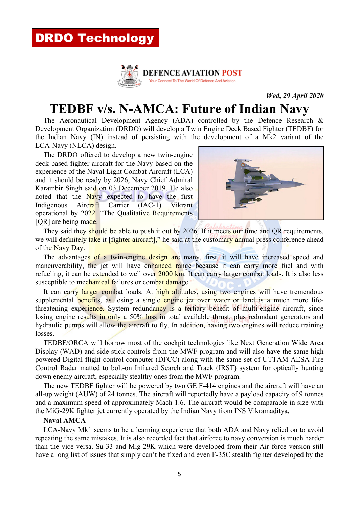

*Wed, 29 April 2020*

# **TEDBF v/s. N-AMCA: Future of Indian Navy**

The Aeronautical Development Agency (ADA) controlled by the Defence Research  $\&$ Development Organization (DRDO) will develop a Twin Engine Deck Based Fighter (TEDBF) for the Indian Navy (IN) instead of persisting with the development of a Mk2 variant of the LCA-Navy (NLCA) design.

The DRDO offered to develop a new twin-engine deck-based fighter aircraft for the Navy based on the experience of the Naval Light Combat Aircraft (LCA) and it should be ready by 2026, Navy Chief Admiral Karambir Singh said on 03 December 2019. He also noted that the Navy expected to have the first Indigenous Aircraft Carrier (IAC-1) Vikrant operational by 2022. "The Qualitative Requirements [OR] are being made.



They said they should be able to push it out by 2026. If it meets our time and QR requirements, we will definitely take it [fighter aircraft]," he said at the customary annual press conference ahead of the Navy Day.

The advantages of a twin-engine design are many, first, it will have increased speed and maneuverability, the jet will have enhanced range because it can carry more fuel and with refueling, it can be extended to well over 2000 km. It can carry larger combat loads. It is also less susceptible to mechanical failures or combat damage.

It can carry larger combat loads. At high altitudes, using two engines will have tremendous supplemental benefits, as losing a single engine jet over water or land is a much more lifethreatening experience. System redundancy is a tertiary benefit of multi-engine aircraft, since losing engine results in only a 50% loss in total available thrust, plus redundant generators and hydraulic pumps will allow the aircraft to fly. In addition, having two engines will reduce training losses.

TEDBF/ORCA will borrow most of the cockpit technologies like Next Generation Wide Area Display (WAD) and side-stick controls from the MWF program and will also have the same high powered Digital flight control computer (DFCC) along with the same set of UTTAM AESA Fire Control Radar matted to bolt-on Infrared Search and Track (IRST) system for optically hunting down enemy aircraft, especially stealthy ones from the MWF program.

The new TEDBF fighter will be powered by two GE F-414 engines and the aircraft will have an all-up weight (AUW) of 24 tonnes. The aircraft will reportedly have a payload capacity of 9 tonnes and a maximum speed of approximately Mach 1.6. The aircraft would be comparable in size with the MiG-29K fighter jet currently operated by the Indian Navy from INS Vikramaditya.

#### **Naval AMCA**

LCA-Navy Mk1 seems to be a learning experience that both ADA and Navy relied on to avoid repeating the same mistakes. It is also recorded fact that airforce to navy conversion is much harder than the vice versa. Su-33 and Mig-29K which were developed from their Air force version still have a long list of issues that simply can't be fixed and even F-35C stealth fighter developed by the